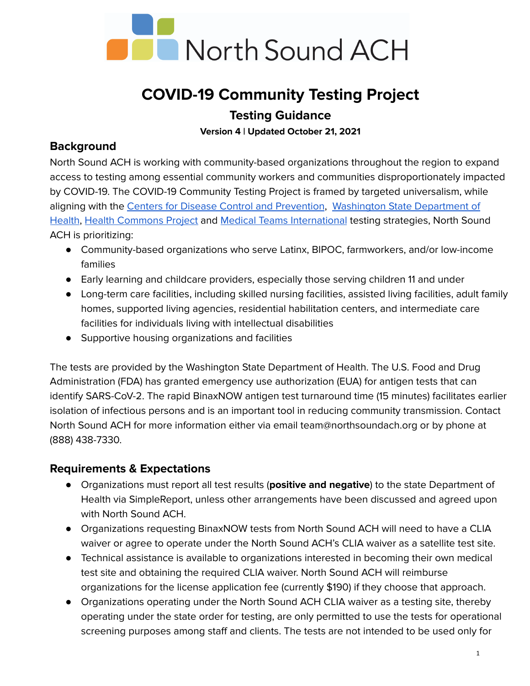

# **COVID-19 Community Testing Project Testing Guidance**

**Version 4 | Updated October 21, 2021**

# **Background**

North Sound ACH is working with community-based organizations throughout the region to expand access to testing among essential community workers and communities disproportionately impacted by COVID-19. The COVID-19 Community Testing Project is framed by targeted universalism, while aligning with the Centers for Disease Control and [Prevention](https://www.cdc.gov/coronavirus/2019-ncov/community/organizations/testing-non-healthcare-workplaces.html), Washington State [Department](https://www.doh.wa.gov/Emergencies/COVID19/TestingforCOVID19/StatewideTestingStrategy#heading58989) of [Health](https://www.doh.wa.gov/Emergencies/COVID19/TestingforCOVID19/StatewideTestingStrategy#heading58989), Health [Commons](https://healthcommonsproject.org/) Project and Medical Teams [International](https://medicalteams.org/how-we-heal/natural-disasters/covid-19-response/) testing strategies, North Sound ACH is prioritizing:

- Community-based organizations who serve Latinx, BIPOC, farmworkers, and/or low-income families
- Early learning and childcare providers, especially those serving children 11 and under
- Long-term care facilities, including skilled nursing facilities, assisted living facilities, adult family homes, supported living agencies, residential habilitation centers, and intermediate care facilities for individuals living with intellectual disabilities
- Supportive housing organizations and facilities

The tests are provided by the Washington State Department of Health. The U.S. Food and Drug Administration (FDA) has granted emergency use authorization (EUA) for antigen tests that can identify SARS-CoV-2. The rapid BinaxNOW antigen test turnaround time (15 minutes) facilitates earlier isolation of infectious persons and is an important tool in reducing community transmission. Contact North Sound ACH for more information either via email team@northsoundach.org or by phone at (888) 438-7330.

# **Requirements & Expectations**

- **●** Organizations must report all test results (**positive and negative**) to the state Department of Health via SimpleReport, unless other arrangements have been discussed and agreed upon with North Sound ACH.
- Organizations requesting BinaxNOW tests from North Sound ACH will need to have a CLIA waiver or agree to operate under the North Sound ACH's CLIA waiver as a satellite test site.
- Technical assistance is available to organizations interested in becoming their own medical test site and obtaining the required CLIA waiver. North Sound ACH will reimburse organizations for the license application fee (currently \$190) if they choose that approach.
- Organizations operating under the North Sound ACH CLIA waiver as a testing site, thereby operating under the state order for testing, are only permitted to use the tests for operational screening purposes among staff and clients. The tests are not intended to be used only for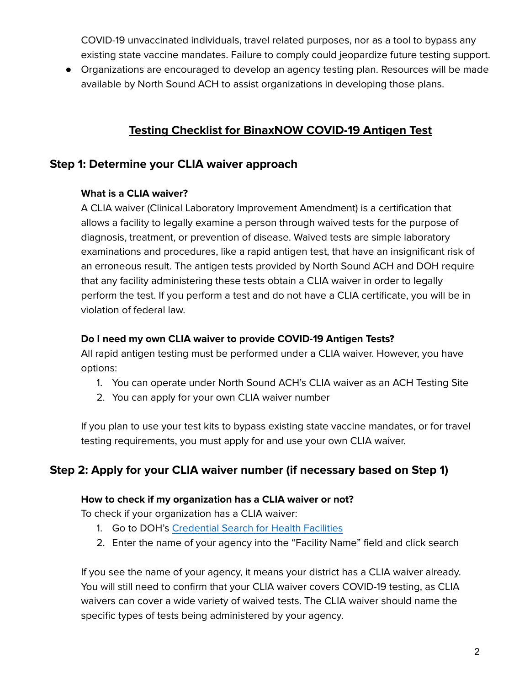COVID-19 unvaccinated individuals, travel related purposes, nor as a tool to bypass any existing state vaccine mandates. Failure to comply could jeopardize future testing support.

● Organizations are encouraged to develop an agency testing plan. Resources will be made available by North Sound ACH to assist organizations in developing those plans.

# **Testing Checklist for BinaxNOW COVID-19 Antigen Test**

# **Step 1: Determine your CLIA waiver approach**

#### **What is a CLIA waiver?**

A CLIA waiver (Clinical Laboratory Improvement Amendment) is a certification that allows a facility to legally examine a person through waived tests for the purpose of diagnosis, treatment, or prevention of disease. Waived tests are simple laboratory examinations and procedures, like a rapid antigen test, that have an insignificant risk of an erroneous result. The antigen tests provided by North Sound ACH and DOH require that any facility administering these tests obtain a CLIA waiver in order to legally perform the test. If you perform a test and do not have a CLIA certificate, you will be in violation of federal law.

### **Do I need my own CLIA waiver to provide COVID-19 Antigen Tests?**

All rapid antigen testing must be performed under a CLIA waiver. However, you have options:

- 1. You can operate under North Sound ACH's CLIA waiver as an ACH Testing Site
- 2. You can apply for your own CLIA waiver number

If you plan to use your test kits to bypass existing state vaccine mandates, or for travel testing requirements, you must apply for and use your own CLIA waiver.

# **Step 2: Apply for your CLIA waiver number (if necessary based on Step 1)**

#### **How to check if my organization has a CLIA waiver or not?**

To check if your organization has a CLIA waiver:

- 1. Go to DOH's [Credential](https://fortress.wa.gov/doh/facilitysearch/) Search for Health Facilities
- 2. Enter the name of your agency into the "Facility Name" field and click search

If you see the name of your agency, it means your district has a CLIA waiver already. You will still need to confirm that your CLIA waiver covers COVID-19 testing, as CLIA waivers can cover a wide variety of waived tests. The CLIA waiver should name the specific types of tests being administered by your agency.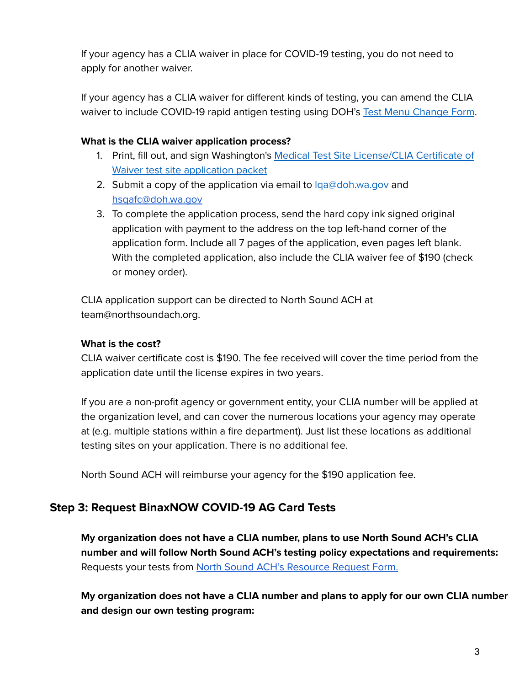If your agency has a CLIA waiver in place for COVID-19 testing, you do not need to apply for another waiver.

If your agency has a CLIA waiver for different kinds of testing, you can amend the CLIA waiver to include COVID-19 rapid antigen testing using DOH's Test Menu [Change](https://www.doh.wa.gov/Portals/1/Documents/Pubs/505088.pdf) Form.

### **What is the CLIA waiver application process?**

- 1. Print, fill out, and sign Washington's Medical Test Site [License/CLIA](https://www.doh.wa.gov/portals/1/Documents/Pubs/505038.pdf) Certificate of Waiver test site [application](https://www.doh.wa.gov/portals/1/Documents/Pubs/505038.pdf) packet
- 2. Submit a copy of the application via email to  $lqa@doh.wa.qov$  and [hsqafc@doh.wa.gov](mailto:hsqafc@doh.wa.gov)
- 3. To complete the application process, send the hard copy ink signed original application with payment to the address on the top left-hand corner of the application form. Include all 7 pages of the application, even pages left blank. With the completed application, also include the CLIA waiver fee of \$190 (check or money order).

CLIA application support can be directed to North Sound ACH at team@northsoundach.org.

### **What is the cost?**

CLIA waiver certificate cost is \$190. The fee received will cover the time period from the application date until the license expires in two years.

If you are a non-profit agency or government entity, your CLIA number will be applied at the organization level, and can cover the numerous locations your agency may operate at (e.g. multiple stations within a fire department). Just list these locations as additional testing sites on your application. There is no additional fee.

North Sound ACH will reimburse your agency for the \$190 application fee.

# **Step 3: Request BinaxNOW COVID-19 AG Card Tests**

**My organization does not have a CLIA number, plans to use North Sound ACH's CLIA number and will follow North Sound ACH's testing policy expectations and requirements:** Requests your tests from North Sound ACH's [Resource](https://forms.gle/BBDJDxJQPyi1SmFG9) Request Form.

**My organization does not have a CLIA number and plans to apply for our own CLIA number and design our own testing program:**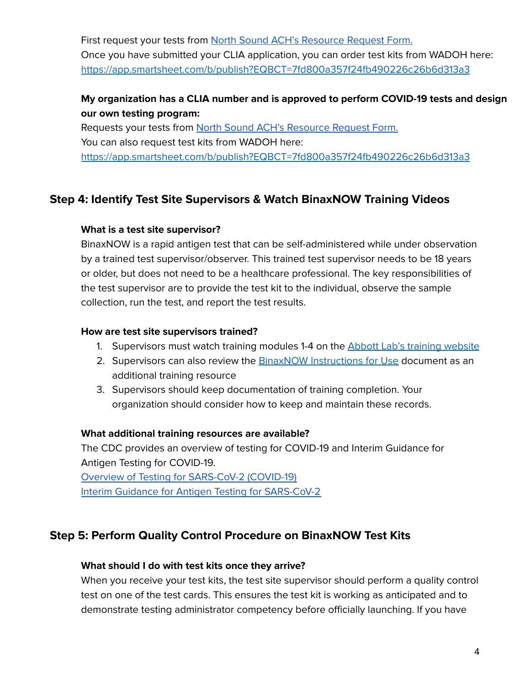First request your tests from North Sound ACH's [Resource](https://forms.gle/BBDJDxJQPyi1SmFG9) Request Form. Once you have submitted your CLIA application, you can order test kits from WADOH here: <https://app.smartsheet.com/b/publish?EQBCT=7fd800a357f24fb490226c26b6d313a3>

# **My organization has a CLIA number and is approved to perform COVID-19 tests and design our own testing program:**

Requests your tests from North Sound ACH's [Resource](https://forms.gle/BBDJDxJQPyi1SmFG9) Request Form. You can also request test kits from WADOH here[:](https://app.smartsheet.com/b/publish?EQBCT=7fd800a357f24fb490226c26b6d313a3) <https://app.smartsheet.com/b/publish?EQBCT=7fd800a357f24fb490226c26b6d313a3>

# **Step 4: Identify Test Site Supervisors & Watch BinaxNOW Training Videos**

### **What is a test site supervisor?**

BinaxNOW is a rapid antigen test that can be self-administered while under observation by a trained test supervisor/observer. This trained test supervisor needs to be 18 years or older, but does not need to be a healthcare professional. The key responsibilities of the test supervisor are to provide the test kit to the individual, observe the sample collection, run the test, and report the test results.

### **How are test site supervisors trained?**

- 1. Supervisors must watch training modules 1-4 on the **Abbott Lab's training [website](https://www.globalpointofcare.abbott/en/support/product-installation-training/navica-brand/navica-binaxnow-ag-training.html)**
- 2. Supervisors can also review the **BinaxNOW** [Instructions](https://www.fda.gov/media/141570/download) for Use document as an additional training resource
- 3. Supervisors should keep documentation of training completion. Your organization should consider how to keep and maintain these records.

## **What additional training resources are available?**

The CDC provides an overview of testing for COVID-19 and Interim Guidance for Antigen Testing for COVID-19.

Overview of Testing for [SARS-CoV-2](https://www.cdc.gov/coronavirus/2019-ncov/hcp/testing-overview.html) (COVID-19) Interim Guidance for Antigen Testing for [SARS-CoV-2](https://www.cdc.gov/coronavirus/2019-ncov/lab/resources/antigen-tests-guidelines.html#general-guidance)

# **Step 5: Perform Quality Control Procedure on BinaxNOW Test Kits**

#### **What should I do with test kits once they arrive?**

When you receive your test kits, the test site supervisor should perform a quality control test on one of the test cards. This ensures the test kit is working as anticipated and to demonstrate testing administrator competency before officially launching. If you have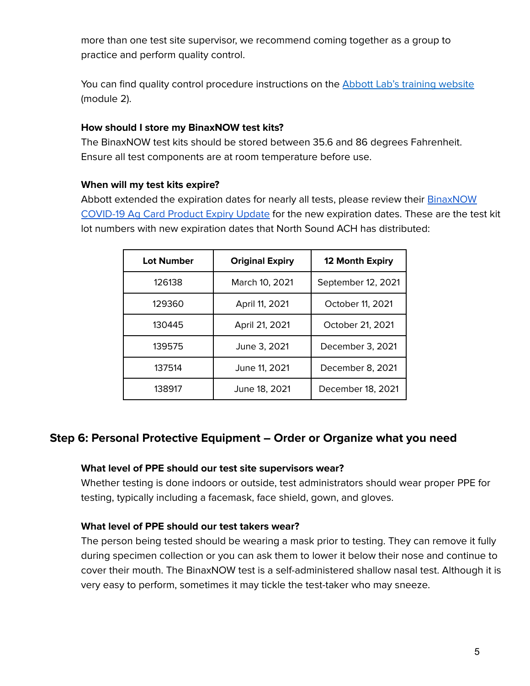more than one test site supervisor, we recommend coming together as a group to practice and perform quality control.

You can find quality control procedure instructions on the Abbott Lab's training [website](https://www.globalpointofcare.abbott/en/support/product-installation-training/navica-brand/navica-binaxnow-ag-training.html) (module 2).

#### **How should I store my BinaxNOW test kits?**

The BinaxNOW test kits should be stored between 35.6 and 86 degrees Fahrenheit. Ensure all test components are at room temperature before use.

#### **When will my test kits expire?**

Abbott extended the expiration dates for nearly all tests, please review their **[BinaxNOW](https://content.veeabb.com/1d09429b-8373-419f-8f1a-d28f9586863a/678e2269-44b7-4c6d-8fa9-0a55a40f30f7/678e2269-44b7-4c6d-8fa9-0a55a40f30f7_source__v.pdf)** [COVID-19](https://content.veeabb.com/1d09429b-8373-419f-8f1a-d28f9586863a/678e2269-44b7-4c6d-8fa9-0a55a40f30f7/678e2269-44b7-4c6d-8fa9-0a55a40f30f7_source__v.pdf) Ag Card Product Expiry Update for the new expiration dates. These are the test kit lot numbers with new expiration dates that North Sound ACH has distributed:

| <b>Lot Number</b> | <b>Original Expiry</b> | 12 Month Expiry    |
|-------------------|------------------------|--------------------|
| 126138            | March 10, 2021         | September 12, 2021 |
| 129360            | April 11, 2021         | October 11, 2021   |
| 130445            | April 21, 2021         | October 21, 2021   |
| 139575            | June 3, 2021           | December 3, 2021   |
| 137514            | June 11, 2021          | December 8, 2021   |
| 138917            | June 18, 2021          | December 18, 2021  |

# **Step 6: Personal Protective Equipment – Order or Organize what you need**

#### **What level of PPE should our test site supervisors wear?**

Whether testing is done indoors or outside, test administrators should wear proper PPE for testing, typically including a facemask, face shield, gown, and gloves.

#### **What level of PPE should our test takers wear?**

The person being tested should be wearing a mask prior to testing. They can remove it fully during specimen collection or you can ask them to lower it below their nose and continue to cover their mouth. The BinaxNOW test is a self-administered shallow nasal test. Although it is very easy to perform, sometimes it may tickle the test-taker who may sneeze.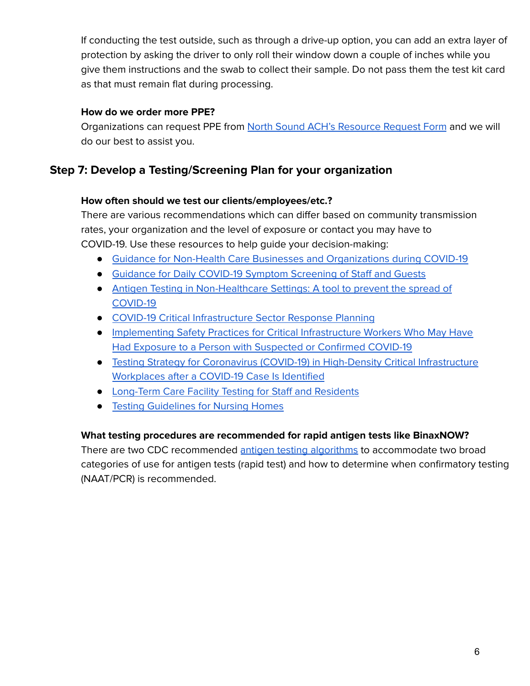If conducting the test outside, such as through a drive-up option, you can add an extra layer of protection by asking the driver to only roll their window down a couple of inches while you give them instructions and the swab to collect their sample. Do not pass them the test kit card as that must remain flat during processing.

### **How do we order more PPE?**

Organizations can request PPE from North Sound ACH's [Resource](https://forms.gle/BBDJDxJQPyi1SmFG9) Request Form and we will do our best to assist you.

# **Step 7: Develop a Testing/Screening Plan for your organization**

### **How often should we test our clients/employees/etc.?**

There are various recommendations which can differ based on community transmission rates, your organization and the level of exposure or contact you may have to COVID-19. Use these resources to help guide your decision-making:

- Guidance for Non-Health Care Businesses and [Organizations](https://www.doh.wa.gov/Portals/1/Documents/1600/coronavirus/420-350-NonHealthCareBusiness.pdf) during COVID-19
- Guidance for Daily COVID-19 Symptom [Screening](https://www.doh.wa.gov/Portals/1/Documents/1600/coronavirus/Employervisitorscreeningguidance.pdf) of Staff and Guests
- Antigen Testing in [Non-Healthcare](https://www.cdc.gov/coronavirus/2019-ncov/community/workplaces-businesses/antigen-testing.html) Settings: A tool to prevent the spread of [COVID-19](https://www.cdc.gov/coronavirus/2019-ncov/community/workplaces-businesses/antigen-testing.html)
- COVID-19 Critical [Infrastructure](https://www.cdc.gov/coronavirus/2019-ncov/community/critical-infrastructure-sectors.html) Sector Response Planning
- [Implementing](https://www.cdc.gov/coronavirus/2019-ncov/community/critical-workers/implementing-safety-practices.html) Safety Practices for Critical Infrastructure Workers Who May Have Had Exposure to a Person with [Suspected](https://www.cdc.gov/coronavirus/2019-ncov/community/critical-workers/implementing-safety-practices.html) or Confirmed COVID-19
- Testing Strategy for Coronavirus (COVID-19) in High-Density Critical [Infrastructure](https://www.cdc.gov/coronavirus/2019-ncov/community/worker-safety-support/hd-testing.html) [Workplaces](https://www.cdc.gov/coronavirus/2019-ncov/community/worker-safety-support/hd-testing.html) after a COVID-19 Case Is Identified
- [Long-Term](https://www.doh.wa.gov/Portals/1/Documents/1600/coronavirus/420-334-TestingLongTermCareFacilities.pdf) Care Facility Testing for Staff and Residents
- Testing [Guidelines](https://www.cdc.gov/coronavirus/2019-ncov/hcp/nursing-homes-testing.html) for Nursing Homes

## **What testing procedures are recommended for rapid antigen tests like BinaxNOW?**

There are two CDC recommended antigen testing [algorithms](https://www.cdc.gov/coronavirus/2019-ncov/lab/resources/antigen-tests-guidelines.html#previous) to accommodate two broad categories of use for antigen tests (rapid test) and how to determine when confirmatory testing (NAAT/PCR) is recommended.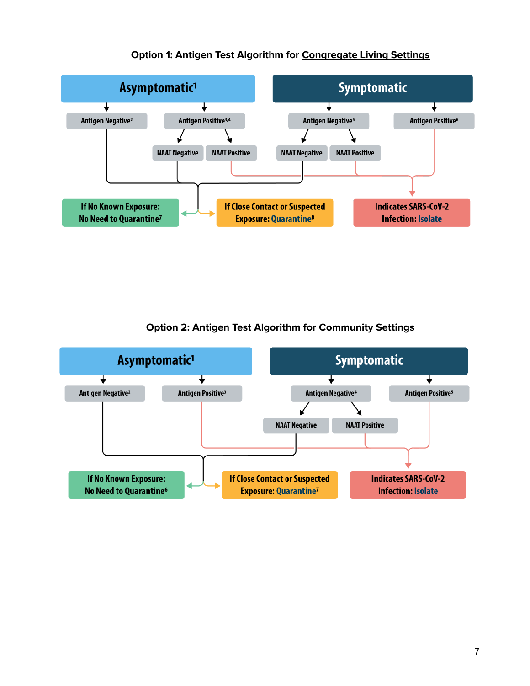

## **Option 1: Antigen Test Algorithm for Congregate Living Settings**

**Option 2: Antigen Test Algorithm for Community Settings**

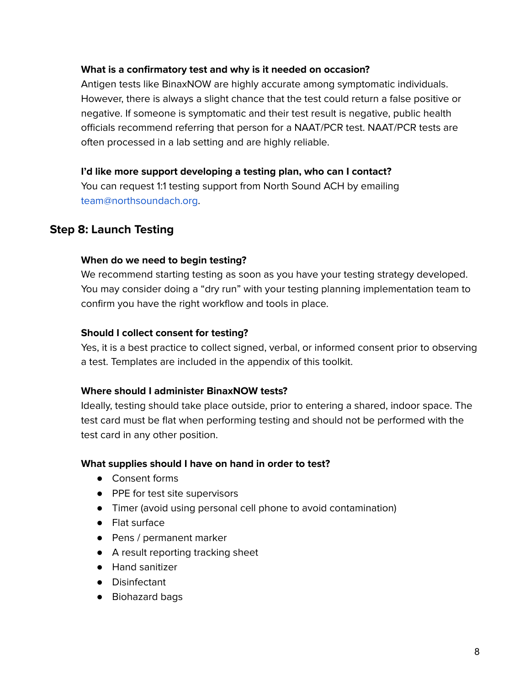#### **What is a confirmatory test and why is it needed on occasion?**

Antigen tests like BinaxNOW are highly accurate among symptomatic individuals. However, there is always a slight chance that the test could return a false positive or negative. If someone is symptomatic and their test result is negative, public health officials recommend referring that person for a NAAT/PCR test. NAAT/PCR tests are often processed in a lab setting and are highly reliable.

#### **I'd like more support developing a testing plan, who can I contact?**

You can request 1:1 testing support from North Sound ACH by emailing team@northsoundach.org.

# **Step 8: Launch Testing**

#### **When do we need to begin testing?**

We recommend starting testing as soon as you have your testing strategy developed. You may consider doing a "dry run" with your testing planning implementation team to confirm you have the right workflow and tools in place.

#### **Should I collect consent for testing?**

Yes, it is a best practice to collect signed, verbal, or informed consent prior to observing a test. Templates are included in the appendix of this toolkit.

#### **Where should I administer BinaxNOW tests?**

Ideally, testing should take place outside, prior to entering a shared, indoor space. The test card must be flat when performing testing and should not be performed with the test card in any other position.

#### **What supplies should I have on hand in order to test?**

- Consent forms
- PPE for test site supervisors
- Timer (avoid using personal cell phone to avoid contamination)
- Flat surface
- Pens / permanent marker
- A result reporting tracking sheet
- Hand sanitizer
- Disinfectant
- Biohazard bags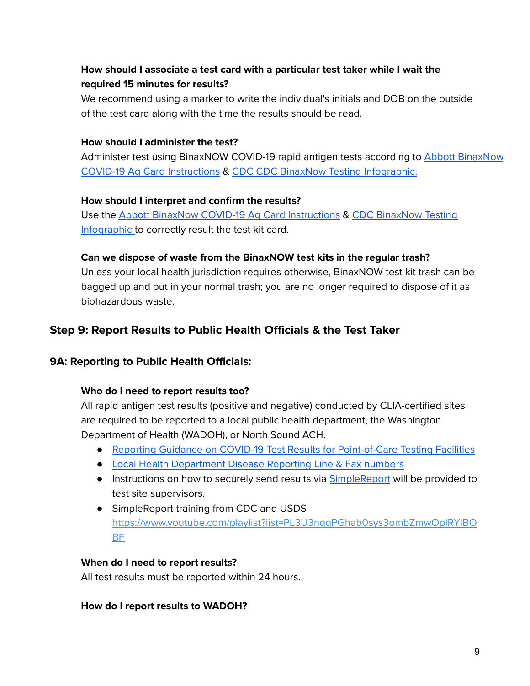# **How should I associate a test card with a particular test taker while I wait the required 15 minutes for results?**

We recommend using a marker to write the individual's initials and DOB on the outside of the test card along with the time the results should be read.

#### **How should I administer the test?**

Administer test using BinaxNOW COVID-19 rapid antigen tests according to **Abbott [BinaxNow](https://www.fda.gov/media/141570/download)** COVID-19 Ag Card [Instructions](https://www.fda.gov/media/141570/download) & CDC CDC BinaxNow Testing [Infographic.](https://www.cdc.gov/csels/dls/preparedlabs/documents/Lessons-Learned-Antigen-Test-BinaxNOW-Ag-Card.pdf)

#### **How should I interpret and confirm the results?**

Use the Abbott BinaxNow COVID-19 Ag Card [Instructions](https://www.fda.gov/media/141570/download) & CDC [BinaxNow](https://www.cdc.gov/csels/dls/preparedlabs/documents/Lessons-Learned-Antigen-Test-BinaxNOW-Ag-Card.pdf) Testing [Infographic](https://www.cdc.gov/csels/dls/preparedlabs/documents/Lessons-Learned-Antigen-Test-BinaxNOW-Ag-Card.pdf) to correctly result the test kit card.

#### **Can we dispose of waste from the BinaxNOW test kits in the regular trash?**

Unless your local health jurisdiction requires otherwise, BinaxNOW test kit trash can be bagged up and put in your normal trash; you are no longer required to dispose of it as biohazardous waste.

# **Step 9: Report Results to Public Health Officials & the Test Taker**

## **9A: Reporting to Public Health Officials:**

## **Who do I need to report results too?**

All rapid antigen test results (positive and negative) conducted by CLIA-certified sites are required to be reported to a local public health department, the Washington Department of Health (WADOH), or North Sound ACH.

- Reporting Guidance on COVID-19 Test Results for [Point-of-Care](https://www.doh.wa.gov/Emergencies/COVID19/HealthcareProviders/ReportingTestResults/ReportingCOVID19TestResultsforPointofCareTestingFacilities) Testing Facilities
- Local Health [Department](https://www.doh.wa.gov/Portals/1/Documents/1200/LHJCommunicableDiseaseReporting.pdf) Disease Reporting Line & Fax numbers
- Instructions on how to securely send results via [SimpleReport](https://www.simplereport.gov/) will be provided to test site supervisors.
- SimpleReport training from CDC and USDS [https://www.youtube.com/playlist?list=PL3U3nqqPGhab0sys3ombZmwOplRYlBO](https://www.youtube.com/playlist?list=PL3U3nqqPGhab0sys3ombZmwOplRYlBOBF) [BF](https://www.youtube.com/playlist?list=PL3U3nqqPGhab0sys3ombZmwOplRYlBOBF)

#### **When do I need to report results?**

All test results must be reported within 24 hours.

#### **How do I report results to WADOH?**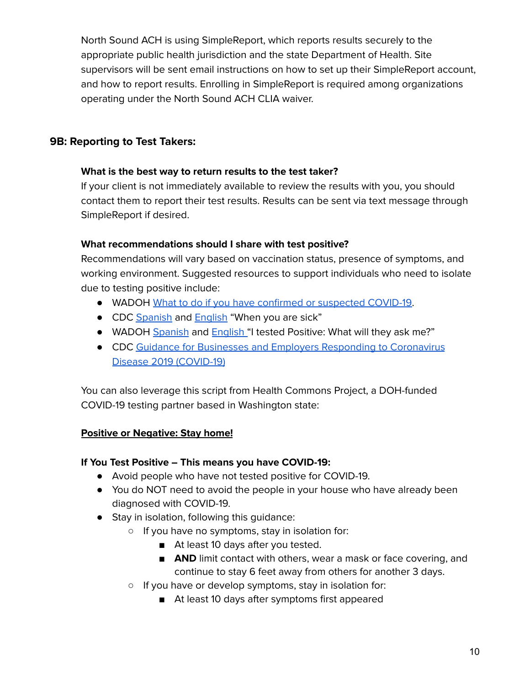North Sound ACH is using SimpleReport, which reports results securely to the appropriate public health jurisdiction and the state Department of Health. Site supervisors will be sent email instructions on how to set up their SimpleReport account, and how to report results. Enrolling in SimpleReport is required among organizations operating under the North Sound ACH CLIA waiver.

# **9B: Reporting to Test Takers:**

#### **What is the best way to return results to the test taker?**

If your client is not immediately available to review the results with you, you should contact them to report their test results. Results can be sent via text message through SimpleReport if desired.

### **What recommendations should I share with test positive?**

Recommendations will vary based on vaccination status, presence of symptoms, and working environment. Suggested resources to support individuals who need to isolate due to testing positive include:

- WADOH What to do if you have confirmed or [suspected](https://www.doh.wa.gov/Portals/1/Documents/1600/coronavirus/COVIDcasepositive.pdf) COVID-19.
- CDC [Spanish](https://www.cdc.gov/coronavirus/2019-ncov/downloads/10Things-spanish.pdf) and [English](https://www.cdc.gov/coronavirus/2019-ncov/downloads/10Things.pdf) "When you are sick"
- WADOH [Spanish](https://www.doh.wa.gov/Portals/1/Documents/1600/coronavirus/CT-WhatToExpectPositiveSpanish.pdf) and **[English](https://www.doh.wa.gov/Portals/1/Documents/1600/coronavirus/CT-WhatToExpectPositiveEnglish.pdf)** "I tested Positive: What will they ask me?"
- CDC Guidance for Businesses and Employers Responding to [Coronavirus](https://www.cdc.gov/coronavirus/2019-ncov/community/guidance-business-response.html#anchor_1609683338837) Disease 2019 [\(COVID-19\)](https://www.cdc.gov/coronavirus/2019-ncov/community/guidance-business-response.html#anchor_1609683338837)

You can also leverage this script from Health Commons Project, a DOH-funded COVID-19 testing partner based in Washington state:

## **Positive or Negative: Stay home!**

## **If You Test Positive – This means you have COVID-19:**

- Avoid people who have not tested positive for COVID-19.
- You do NOT need to avoid the people in your house who have already been diagnosed with COVID-19.
- Stay in isolation, following this quidance:
	- If you have no symptoms, stay in isolation for:
		- At least 10 days after you tested.
		- **AND** limit contact with others, wear a mask or face covering, and continue to stay 6 feet away from others for another 3 days.
	- If you have or develop symptoms, stay in isolation for:
		- At least 10 days after symptoms first appeared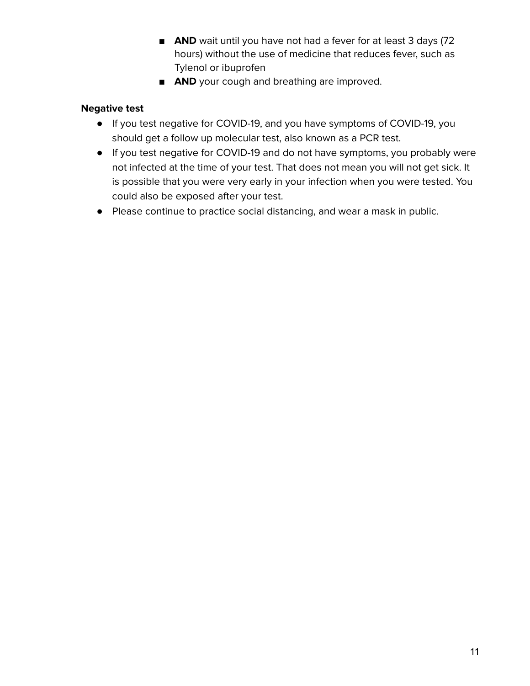- **AND** wait until you have not had a fever for at least 3 days (72 hours) without the use of medicine that reduces fever, such as Tylenol or ibuprofen
- **AND** your cough and breathing are improved.

# **Negative test**

- If you test negative for COVID-19, and you have symptoms of COVID-19, you should get a follow up molecular test, also known as a PCR test.
- If you test negative for COVID-19 and do not have symptoms, you probably were not infected at the time of your test. That does not mean you will not get sick. It is possible that you were very early in your infection when you were tested. You could also be exposed after your test.
- Please continue to practice social distancing, and wear a mask in public.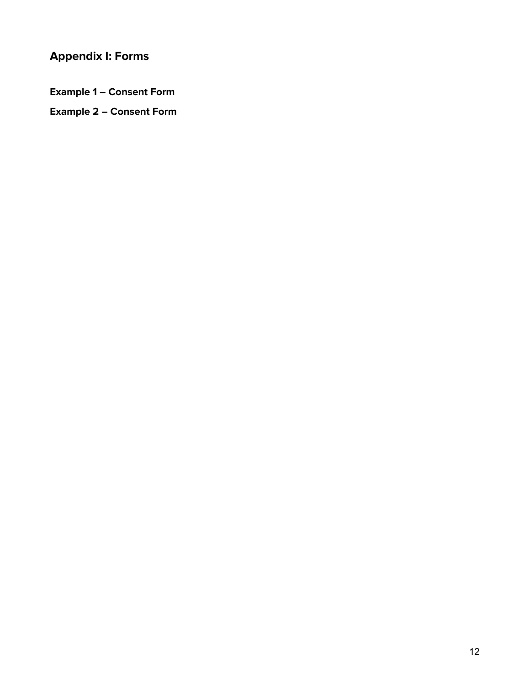# **Appendix I: Forms**

**Example 1 – Consent Form**

**Example 2 – Consent Form**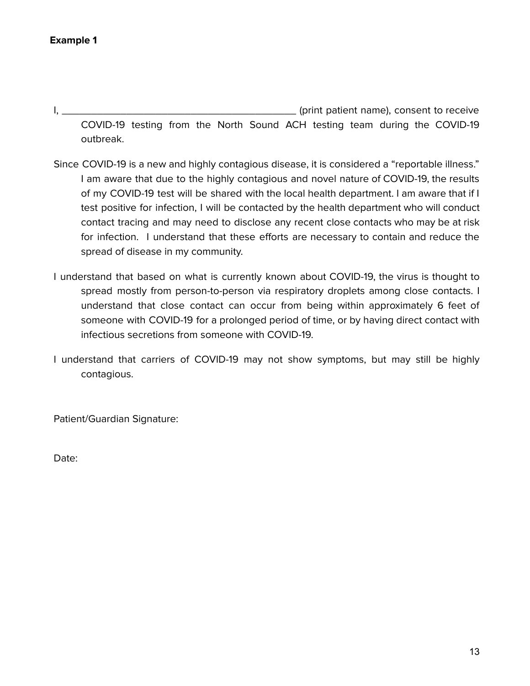I, \_\_\_\_\_\_\_\_\_\_\_\_\_\_\_\_\_\_\_\_\_\_\_\_\_\_\_\_\_\_\_\_\_\_\_\_\_\_\_\_ (print patient name), consent to receive COVID-19 testing from the North Sound ACH testing team during the COVID-19 outbreak.

- Since COVID-19 is a new and highly contagious disease, it is considered a "reportable illness." I am aware that due to the highly contagious and novel nature of COVID-19, the results of my COVID-19 test will be shared with the local health department. I am aware that if I test positive for infection, I will be contacted by the health department who will conduct contact tracing and may need to disclose any recent close contacts who may be at risk for infection. I understand that these efforts are necessary to contain and reduce the spread of disease in my community.
- I understand that based on what is currently known about COVID-19, the virus is thought to spread mostly from person-to-person via respiratory droplets among close contacts. I understand that close contact can occur from being within approximately 6 feet of someone with COVID-19 for a prolonged period of time, or by having direct contact with infectious secretions from someone with COVID-19.
- I understand that carriers of COVID-19 may not show symptoms, but may still be highly contagious.

Patient/Guardian Signature:

Date: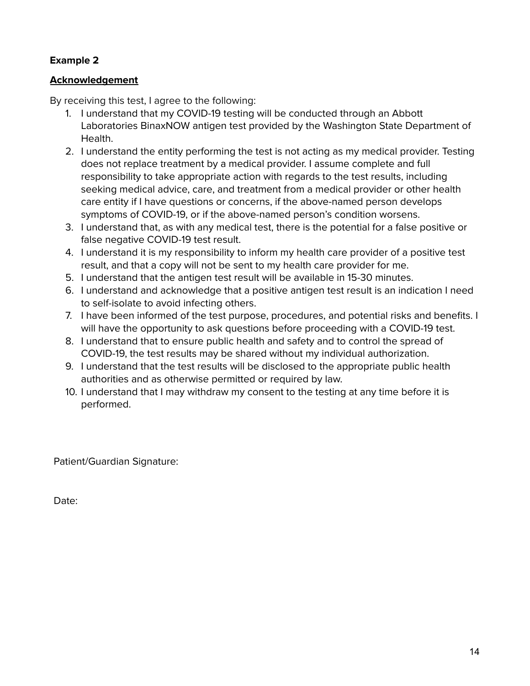# **Example 2**

### **Acknowledgement**

By receiving this test, I agree to the following:

- 1. I understand that my COVID-19 testing will be conducted through an Abbott Laboratories BinaxNOW antigen test provided by the Washington State Department of Health.
- 2. I understand the entity performing the test is not acting as my medical provider. Testing does not replace treatment by a medical provider. I assume complete and full responsibility to take appropriate action with regards to the test results, including seeking medical advice, care, and treatment from a medical provider or other health care entity if I have questions or concerns, if the above-named person develops symptoms of COVID-19, or if the above-named person's condition worsens.
- 3. I understand that, as with any medical test, there is the potential for a false positive or false negative COVID-19 test result.
- 4. I understand it is my responsibility to inform my health care provider of a positive test result, and that a copy will not be sent to my health care provider for me.
- 5. I understand that the antigen test result will be available in 15-30 minutes.
- 6. I understand and acknowledge that a positive antigen test result is an indication I need to self-isolate to avoid infecting others.
- 7. I have been informed of the test purpose, procedures, and potential risks and benefits. I will have the opportunity to ask questions before proceeding with a COVID-19 test.
- 8. I understand that to ensure public health and safety and to control the spread of COVID-19, the test results may be shared without my individual authorization.
- 9. I understand that the test results will be disclosed to the appropriate public health authorities and as otherwise permitted or required by law.
- 10. I understand that I may withdraw my consent to the testing at any time before it is performed.

Patient/Guardian Signature:

Date: